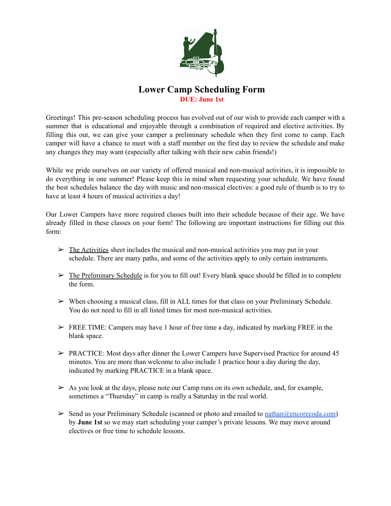

### **Lower Camp Scheduling Form DUE: June 1st**

Greetings! This pre-season scheduling process has evolved out of our wish to provide each camper with a summer that is educational and enjoyable through a combination of required and elective activities. By filling this out, we can give your camper a preliminary schedule when they first come to camp. Each camper will have a chance to meet with a staff member on the first day to review the schedule and make any changes they may want (especially after talking with their new cabin friends!)

While we pride ourselves on our variety of offered musical and non-musical activities, it is impossible to do everything in one summer! Please keep this in mind when requesting your schedule. We have found the best schedules balance the day with music and non-musical electives: a good rule of thumb is to try to have at least 4 hours of musical activities a day!

Our Lower Campers have more required classes built into their schedule because of their age. We have already filled in these classes on your form! The following are important instructions for filling out this form:

- $\triangleright$  The Activities sheet includes the musical and non-musical activities you may put in your schedule. There are many paths, and some of the activities apply to only certain instruments.
- $\triangleright$  The Preliminary Schedule is for you to fill out! Every blank space should be filled in to complete the form.
- $\triangleright$  When choosing a musical class, fill in ALL times for that class on your Preliminary Schedule. You do not need to fill in all listed times for most non-musical activities.
- $\triangleright$  FREE TIME: Campers may have 1 hour of free time a day, indicated by marking FREE in the blank space.
- $\triangleright$  PRACTICE: Most days after dinner the Lower Campers have Supervised Practice for around 45 minutes. You are more than welcome to also include 1 practice hour a day during the day, indicated by marking PRACTICE in a blank space.
- $\triangleright$  As you look at the days, please note our Camp runs on its own schedule, and, for example, sometimes a "Thursday" in camp is really a Saturday in the real world.
- $\triangleright$  Send us your Preliminary Schedule (scanned or photo and emailed to <u>nathan</u> $@$ encorecoda.com) by **June 1st** so we may start scheduling your camper's private lessons. We may move around electives or free time to schedule lessons.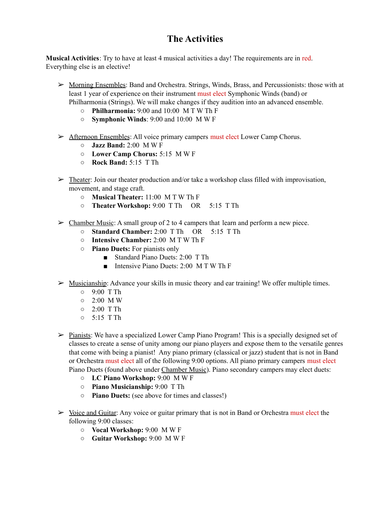## **The Activities**

**Musical Activities**: Try to have at least 4 musical activities a day! The requirements are in red. Everything else is an elective!

- $\triangleright$  Morning Ensembles: Band and Orchestra. Strings, Winds, Brass, and Percussionists: those with at least 1 year of experience on their instrument must elect Symphonic Winds (band) or Philharmonia (Strings). We will make changes if they audition into an advanced ensemble.
	- **○ Philharmonia:** 9:00 and 10:00 M T W Th F
	- **○ Symphonic Winds**: 9:00 and 10:00 M W F
- ➢ Afternoon Ensembles: All voice primary campers must elect Lower Camp Chorus.
	- **○ Jazz Band:** 2:00 M W F
	- **○ Lower Camp Chorus:** 5:15 M W F
	- **○ Rock Band:** 5:15 T Th
- $\triangleright$  Theater: Join our theater production and/or take a workshop class filled with improvisation, movement, and stage craft.
	- **○ Musical Theater:** 11:00 M T W Th F
	- **○ Theater Workshop:** 9:00 T Th OR 5:15 T Th
- $\triangleright$  Chamber Music: A small group of 2 to 4 campers that learn and perform a new piece.
	- **Standard Chamber:** 2:00 T Th OR 5:15 T Th
	- **Intensive Chamber:** 2:00 M T W Th F
	- **○ Piano Duets:** For pianists only
		- Standard Piano Duets: 2:00 T Th
		- Intensive Piano Duets: 2:00 M T W Th F
- $\triangleright$  Musicianship: Advance your skills in music theory and ear training! We offer multiple times.
	- 9:00 T Th
	- $\circ$  2:00 MW
	- 2:00 T Th
	- $0$  5:15 T Th
- $\triangleright$  Pianists: We have a specialized Lower Camp Piano Program! This is a specially designed set of classes to create a sense of unity among our piano players and expose them to the versatile genres that come with being a pianist! Any piano primary (classical or jazz) student that is not in Band or Orchestra must elect all of the following 9:00 options. All piano primary campers must elect Piano Duets (found above under Chamber Music). Piano secondary campers may elect duets:
	- **○ LC Piano Workshop:** 9:00 M W F
	- **○ Piano Musicianship:** 9:00 T Th
	- **○ Piano Duets:** (see above for times and classes!)
- $\triangleright$  Voice and Guitar: Any voice or guitar primary that is not in Band or Orchestra must elect the following 9:00 classes:
	- **○ Vocal Workshop:** 9:00 M W F
	- **○ Guitar Workshop:** 9:00 M W F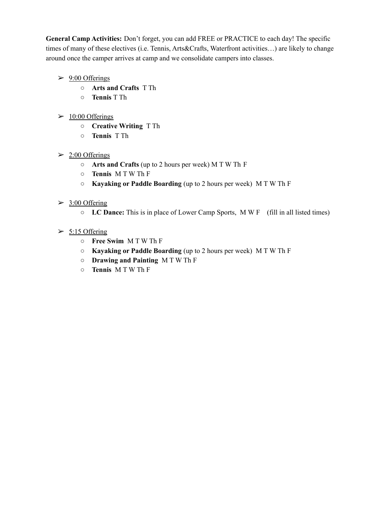**General Camp Activities:** Don't forget, you can add FREE or PRACTICE to each day! The specific times of many of these electives (i.e. Tennis, Arts&Crafts, Waterfront activities…) are likely to change around once the camper arrives at camp and we consolidate campers into classes.

- $\geq 9:00$  Offerings
	- **○ Arts and Crafts** T Th
	- **○ Tennis** T Th
- $\geq 10:00$  Offerings
	- **○ Creative Writing** T Th
	- **○ Tennis** T Th

#### $\geq 2:00$  Offerings

- **○ Arts and Crafts** (up to 2 hours per week) M T W Th F
- **○ Tennis** M T W Th F
- **○ Kayaking or Paddle Boarding** (up to 2 hours per week) M T W Th F

#### $\geq$  3:00 Offering

- **○ LC Dance:** This is in place of Lower Camp Sports, M W F (fill in all listed times)
- $\geq$  5:15 Offering
	- **○ Free Swim** M T W Th F
	- **○ Kayaking or Paddle Boarding** (up to 2 hours per week) M T W Th F
	- **○ Drawing and Painting** M T W Th F
	- **○ Tennis** M T W Th F